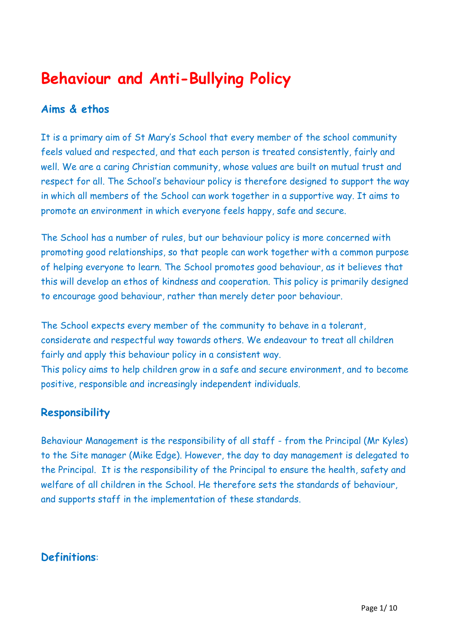# **Behaviour and Anti-Bullying Policy**

## **Aims & ethos**

It is a primary aim of St Mary's School that every member of the school community feels valued and respected, and that each person is treated consistently, fairly and well. We are a caring Christian community, whose values are built on mutual trust and respect for all. The School's behaviour policy is therefore designed to support the way in which all members of the School can work together in a supportive way. It aims to promote an environment in which everyone feels happy, safe and secure.

The School has a number of rules, but our behaviour policy is more concerned with promoting good relationships, so that people can work together with a common purpose of helping everyone to learn. The School promotes good behaviour, as it believes that this will develop an ethos of kindness and cooperation. This policy is primarily designed to encourage good behaviour, rather than merely deter poor behaviour.

The School expects every member of the community to behave in a tolerant, considerate and respectful way towards others. We endeavour to treat all children fairly and apply this behaviour policy in a consistent way.

This policy aims to help children grow in a safe and secure environment, and to become positive, responsible and increasingly independent individuals.

# **Responsibility**

Behaviour Management is the responsibility of all staff - from the Principal (Mr Kyles) to the Site manager (Mike Edge). However, the day to day management is delegated to the Principal. It is the responsibility of the Principal to ensure the health, safety and welfare of all children in the School. He therefore sets the standards of behaviour, and supports staff in the implementation of these standards.

# **Definitions**: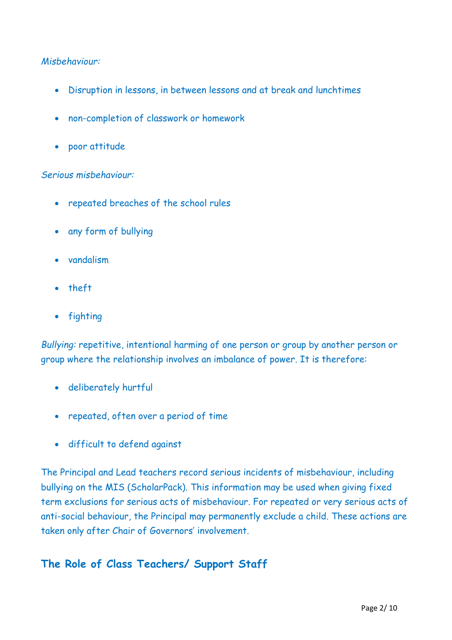#### *Misbehaviour:*

- Disruption in lessons, in between lessons and at break and lunchtimes
- non-completion of classwork or homework
- poor attitude

#### *Serious misbehaviour:*

- repeated breaches of the school rules
- any form of bullying
- vandalism
- theft
- fighting

*Bullying:* repetitive, intentional harming of one person or group by another person or group where the relationship involves an imbalance of power. It is therefore:

- deliberately hurtful
- repeated, often over a period of time
- difficult to defend against

The Principal and Lead teachers record serious incidents of misbehaviour, including bullying on the MIS (ScholarPack). This information may be used when giving fixed term exclusions for serious acts of misbehaviour. For repeated or very serious acts of anti-social behaviour, the Principal may permanently exclude a child. These actions are taken only after Chair of Governors' involvement.

## **The Role of Class Teachers/ Support Staff**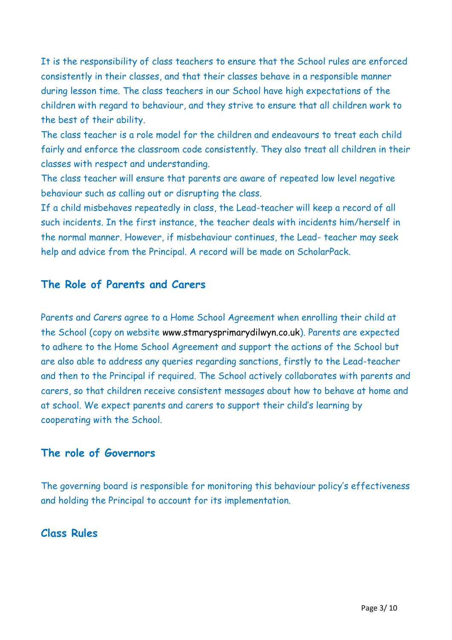It is the responsibility of class teachers to ensure that the School rules are enforced consistently in their classes, and that their classes behave in a responsible manner during lesson time. The class teachers in our School have high expectations of the children with regard to behaviour, and they strive to ensure that all children work to the best of their ability.

The class teacher is a role model for the children and endeavours to treat each child fairly and enforce the classroom code consistently. They also treat all children in their classes with respect and understanding.

The class teacher will ensure that parents are aware of repeated low level negative behaviour such as calling out or disrupting the class.

If a child misbehaves repeatedly in class, the Lead-teacher will keep a record of all such incidents. In the first instance, the teacher deals with incidents him/herself in the normal manner. However, if misbehaviour continues, the Lead- teacher may seek help and advice from the Principal. A record will be made on ScholarPack.

#### **The Role of Parents and Carers**

Parents and Carers agree to a Home School Agreement when enrolling their child at the School (copy on website [www.stmarysprimarydilwyn.co.uk\)](http://www.stmarysprimarydilwyn.co.uk/). Parents are expected to adhere to the Home School Agreement and support the actions of the School but are also able to address any queries regarding sanctions, firstly to the Lead-teacher and then to the Principal if required. The School actively collaborates with parents and carers, so that children receive consistent messages about how to behave at home and at school. We expect parents and carers to support their child's learning by cooperating with the School.

#### **The role of Governors**

The governing board is responsible for monitoring this behaviour policy's effectiveness and holding the Principal to account for its implementation.

#### **Class Rules**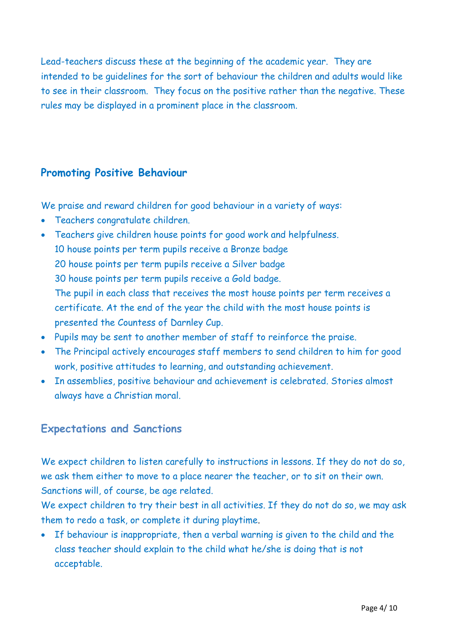Lead-teachers discuss these at the beginning of the academic year. They are intended to be guidelines for the sort of behaviour the children and adults would like to see in their classroom. They focus on the positive rather than the negative. These rules may be displayed in a prominent place in the classroom.

## **Promoting Positive Behaviour**

We praise and reward children for good behaviour in a variety of ways:

- Teachers congratulate children.
- Teachers give children house points for good work and helpfulness. 10 house points per term pupils receive a Bronze badge 20 house points per term pupils receive a Silver badge 30 house points per term pupils receive a Gold badge. The pupil in each class that receives the most house points per term receives a certificate. At the end of the year the child with the most house points is presented the Countess of Darnley Cup.
- Pupils may be sent to another member of staff to reinforce the praise.
- The Principal actively encourages staff members to send children to him for good work, positive attitudes to learning, and outstanding achievement.
- In assemblies, positive behaviour and achievement is celebrated. Stories almost always have a Christian moral.

## **Expectations and Sanctions**

We expect children to listen carefully to instructions in lessons. If they do not do so, we ask them either to move to a place nearer the teacher, or to sit on their own. Sanctions will, of course, be age related.

We expect children to try their best in all activities. If they do not do so, we may ask them to redo a task, or complete it during playtime.

• If behaviour is inappropriate, then a verbal warning is given to the child and the class teacher should explain to the child what he/she is doing that is not acceptable.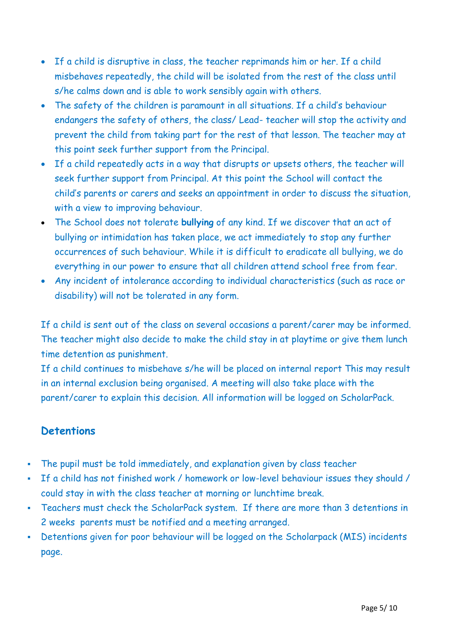- If a child is disruptive in class, the teacher reprimands him or her. If a child misbehaves repeatedly, the child will be isolated from the rest of the class until s/he calms down and is able to work sensibly again with others.
- The safety of the children is paramount in all situations. If a child's behaviour endangers the safety of others, the class/ Lead- teacher will stop the activity and prevent the child from taking part for the rest of that lesson. The teacher may at this point seek further support from the Principal.
- If a child repeatedly acts in a way that disrupts or upsets others, the teacher will seek further support from Principal. At this point the School will contact the child's parents or carers and seeks an appointment in order to discuss the situation, with a view to improving behaviour.
- The School does not tolerate **bullying** of any kind. If we discover that an act of bullying or intimidation has taken place, we act immediately to stop any further occurrences of such behaviour. While it is difficult to eradicate all bullying, we do everything in our power to ensure that all children attend school free from fear.
- Any incident of intolerance according to individual characteristics (such as race or disability) will not be tolerated in any form.

If a child is sent out of the class on several occasions a parent/carer may be informed. The teacher might also decide to make the child stay in at playtime or give them lunch time detention as punishment.

If a child continues to misbehave s/he will be placed on internal report This may result in an internal exclusion being organised. A meeting will also take place with the parent/carer to explain this decision. All information will be logged on ScholarPack.

# **Detentions**

- The pupil must be told immediately, and explanation given by class teacher
- If a child has not finished work / homework or low-level behaviour issues they should / could stay in with the class teacher at morning or lunchtime break.
- Teachers must check the ScholarPack system. If there are more than 3 detentions in 2 weeks parents must be notified and a meeting arranged.
- Detentions given for poor behaviour will be logged on the Scholarpack (MIS) incidents page.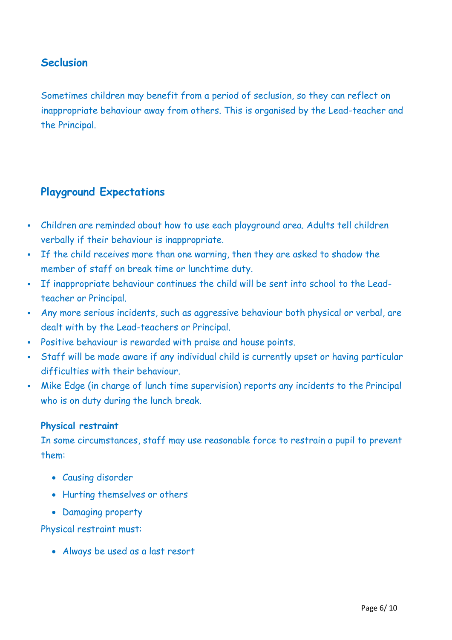## **Seclusion**

Sometimes children may benefit from a period of seclusion, so they can reflect on inappropriate behaviour away from others. This is organised by the Lead-teacher and the Principal.

## **Playground Expectations**

- Children are reminded about how to use each playground area. Adults tell children verbally if their behaviour is inappropriate.
- If the child receives more than one warning, then they are asked to shadow the member of staff on break time or lunchtime duty.
- If inappropriate behaviour continues the child will be sent into school to the Leadteacher or Principal.
- Any more serious incidents, such as aggressive behaviour both physical or verbal, are dealt with by the Lead-teachers or Principal.
- Positive behaviour is rewarded with praise and house points.
- Staff will be made aware if any individual child is currently upset or having particular difficulties with their behaviour.
- Mike Edge (in charge of lunch time supervision) reports any incidents to the Principal who is on duty during the lunch break.

#### **Physical restraint**

In some circumstances, staff may use reasonable force to restrain a pupil to prevent them:

- Causing disorder
- Hurting themselves or others
- Damaging property

Physical restraint must:

• Always be used as a last resort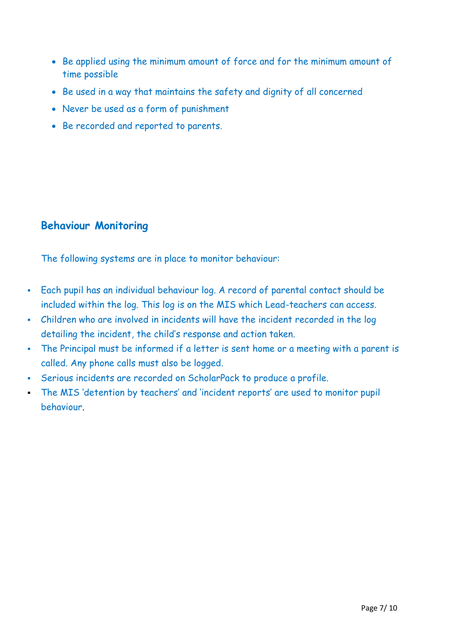- Be applied using the minimum amount of force and for the minimum amount of time possible
- Be used in a way that maintains the safety and dignity of all concerned
- Never be used as a form of punishment
- Be recorded and reported to parents.

## **Behaviour Monitoring**

The following systems are in place to monitor behaviour:

- Each pupil has an individual behaviour log. A record of parental contact should be included within the log. This log is on the MIS which Lead-teachers can access.
- Children who are involved in incidents will have the incident recorded in the log detailing the incident, the child's response and action taken.
- The Principal must be informed if a letter is sent home or a meeting with a parent is called. Any phone calls must also be logged.
- Serious incidents are recorded on ScholarPack to produce a profile.
- The MIS 'detention by teachers' and 'incident reports' are used to monitor pupil behaviour.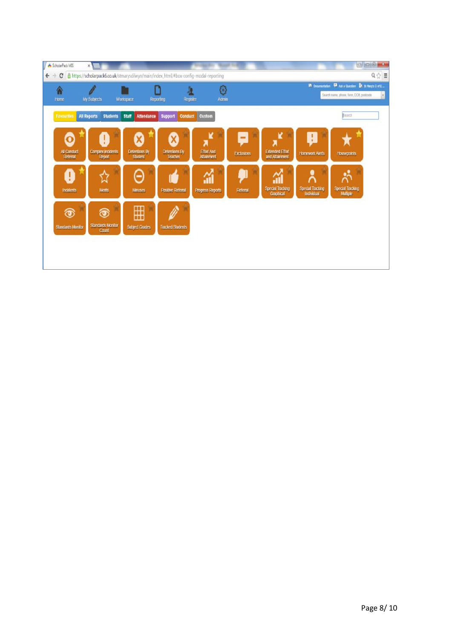| ScholarPack MIS          | $\times$                                                                             |                            |                          |                         |                   |                         |                                                         |                         |                                                 |  |
|--------------------------|--------------------------------------------------------------------------------------|----------------------------|--------------------------|-------------------------|-------------------|-------------------------|---------------------------------------------------------|-------------------------|-------------------------------------------------|--|
| C<br>$\leftarrow$        | https://scholarpack6.co.uk/stmarysdilwyn/main/index_html/#box-config-modal-reporting |                            |                          |                         |                   |                         |                                                         |                         | $\mathbb{Q} \left\  \mathbb{Q} \right\  \equiv$ |  |
| Ѧ                        |                                                                                      |                            |                          | €                       |                   |                         | <b>In</b> Documentation                                 |                         | Ask a Question ER St Nary's Caf E.              |  |
| Home                     | My Subjects<br>Workspace<br>Register<br>Admin<br>Reporting                           |                            |                          |                         |                   |                         | Search name, phone, form, DOB, postcode<br>$\mathbf{v}$ |                         |                                                 |  |
| <b>Favourites</b>        | <b>All Reports</b><br><b>Students</b>                                                | Staff<br><b>Attendance</b> | <b>Support</b>           | Conduct Custom          |                   |                         |                                                         | <b>Bearch</b>           |                                                 |  |
|                          |                                                                                      |                            |                          |                         |                   |                         |                                                         |                         |                                                 |  |
| $\bullet$                | Ţ                                                                                    | X)                         | X                        | ĸ<br>λ                  | ۰                 |                         | Ł                                                       |                         |                                                 |  |
| <b>All Conduct</b>       | <b>Complex incidents</b>                                                             | Detentions By              | Detentions By            | <b>Effort And</b>       | <b>Exclusions</b> | <b>Extended Effort</b>  | <b>Homework Alerts</b>                                  | <b>Housepoints</b>      |                                                 |  |
| Referral                 | Report                                                                               | <b>Student</b>             | Teacher                  | <b>Atlainment</b>       |                   | and Atlainment          |                                                         |                         |                                                 |  |
| Ø                        | វ3                                                                                   | Α                          |                          | 쳾                       |                   | á                       | Ă                                                       |                         |                                                 |  |
| Incidents                | <b>Ments</b>                                                                         | <b>Minuses</b>             | <b>Positive Referral</b> | <b>Progress Reports</b> | Referral          | <b>Special Tracking</b> | <b>Special Tracking</b><br>Individual                   | <b>Special Tracking</b> |                                                 |  |
|                          |                                                                                      |                            |                          |                         |                   | Graphical               |                                                         | Multiple                |                                                 |  |
| $\circledcirc$           | $\circledcirc$                                                                       | ⊞                          |                          |                         |                   |                         |                                                         |                         |                                                 |  |
| <b>Standards Monitor</b> | <b>Standards Monitor</b>                                                             | <b>Subject Grades</b>      | <b>Tracked Students</b>  |                         |                   |                         |                                                         |                         |                                                 |  |
|                          | Count                                                                                |                            |                          |                         |                   |                         |                                                         |                         |                                                 |  |
|                          |                                                                                      |                            |                          |                         |                   |                         |                                                         |                         |                                                 |  |
|                          |                                                                                      |                            |                          |                         |                   |                         |                                                         |                         |                                                 |  |
|                          |                                                                                      |                            |                          |                         |                   |                         |                                                         |                         |                                                 |  |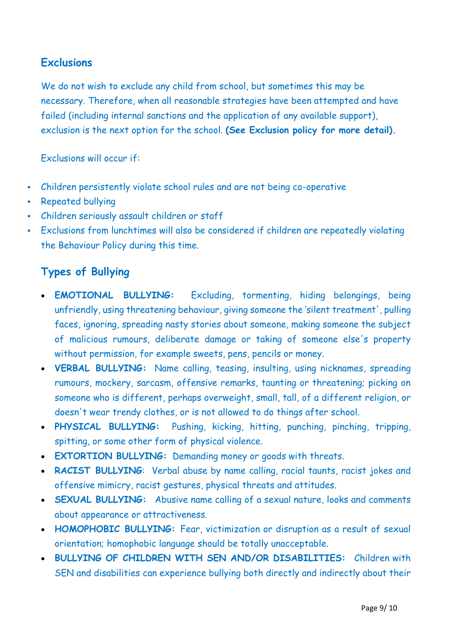# **Exclusions**

We do not wish to exclude any child from school, but sometimes this may be necessary. Therefore, when all reasonable strategies have been attempted and have failed (including internal sanctions and the application of any available support), exclusion is the next option for the school. **(See Exclusion policy for more detail).**

Exclusions will occur if:

- Children persistently violate school rules and are not being co-operative
- Repeated bullying
- Children seriously assault children or staff
- Exclusions from lunchtimes will also be considered if children are repeatedly violating the Behaviour Policy during this time.

## **Types of Bullying**

- **EMOTIONAL BULLYING:** Excluding, tormenting, hiding belongings, being unfriendly, using threatening behaviour, giving someone the 'silent treatment', pulling faces, ignoring, spreading nasty stories about someone, making someone the subject of malicious rumours, deliberate damage or taking of someone else's property without permission, for example sweets, pens, pencils or money.
- **VERBAL BULLYING:** Name calling, teasing, insulting, using nicknames, spreading rumours, mockery, sarcasm, offensive remarks, taunting or threatening; picking on someone who is different, perhaps overweight, small, tall, of a different religion, or doesn't wear trendy clothes, or is not allowed to do things after school.
- **PHYSICAL BULLYING:** Pushing, kicking, hitting, punching, pinching, tripping, spitting, or some other form of physical violence.
- **EXTORTION BULLYING:** Demanding money or goods with threats.
- **RACIST BULLYING:** Verbal abuse by name calling, racial taunts, racist jokes and offensive mimicry, racist gestures, physical threats and attitudes.
- **SEXUAL BULLYING:** Abusive name calling of a sexual nature, looks and comments about appearance or attractiveness.
- **HOMOPHOBIC BULLYING:** Fear, victimization or disruption as a result of sexual orientation; homophobic language should be totally unacceptable.
- **BULLYING OF CHILDREN WITH SEN AND/OR DISABILITIES:** Children with SEN and disabilities can experience bullying both directly and indirectly about their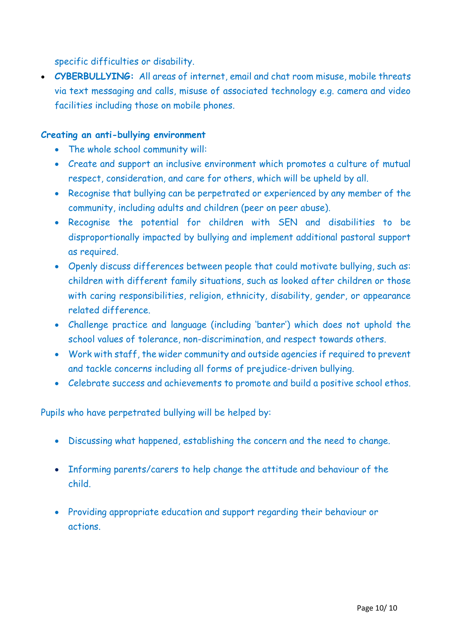specific difficulties or disability.

• **CYBERBULLYING:** All areas of internet, email and chat room misuse, mobile threats via text messaging and calls, misuse of associated technology e.g. camera and video facilities including those on mobile phones.

#### **Creating an anti-bullying environment**

- The whole school community will:
- Create and support an inclusive environment which promotes a culture of mutual respect, consideration, and care for others, which will be upheld by all.
- Recognise that bullying can be perpetrated or experienced by any member of the community, including adults and children (peer on peer abuse).
- Recognise the potential for children with SEN and disabilities to be disproportionally impacted by bullying and implement additional pastoral support as required.
- Openly discuss differences between people that could motivate bullying, such as: children with different family situations, such as looked after children or those with caring responsibilities, religion, ethnicity, disability, gender, or appearance related difference.
- Challenge practice and language (including 'banter') which does not uphold the school values of tolerance, non-discrimination, and respect towards others.
- Work with staff, the wider community and outside agencies if required to prevent and tackle concerns including all forms of prejudice-driven bullying.
- Celebrate success and achievements to promote and build a positive school ethos.

Pupils who have perpetrated bullying will be helped by:

- Discussing what happened, establishing the concern and the need to change.
- Informing parents/carers to help change the attitude and behaviour of the child.
- Providing appropriate education and support regarding their behaviour or actions.